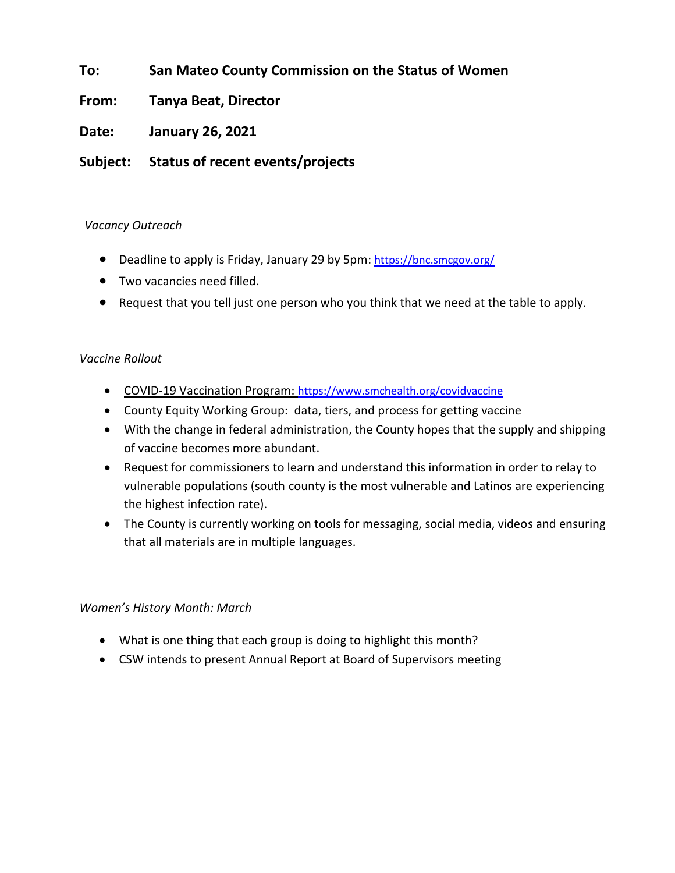## **To: San Mateo County Commission on the Status of Women**

### **From: Tanya Beat, Director**

**Date: January 26, 2021**

## **Subject: Status of recent events/projects**

#### *Vacancy Outreach*

- Deadline to apply is Friday, January 29 by 5pm: <https://bnc.smcgov.org/>
- Two vacancies need filled.
- Request that you tell just one person who you think that we need at the table to apply.

#### *Vaccine Rollout*

- COVID-19 Vaccination Program: <https://www.smchealth.org/covidvaccine>
- County Equity Working Group: data, tiers, and process for getting vaccine
- With the change in federal administration, the County hopes that the supply and shipping of vaccine becomes more abundant.
- Request for commissioners to learn and understand this information in order to relay to vulnerable populations (south county is the most vulnerable and Latinos are experiencing the highest infection rate).
- The County is currently working on tools for messaging, social media, videos and ensuring that all materials are in multiple languages.

#### *Women's History Month: March*

- What is one thing that each group is doing to highlight this month?
- CSW intends to present Annual Report at Board of Supervisors meeting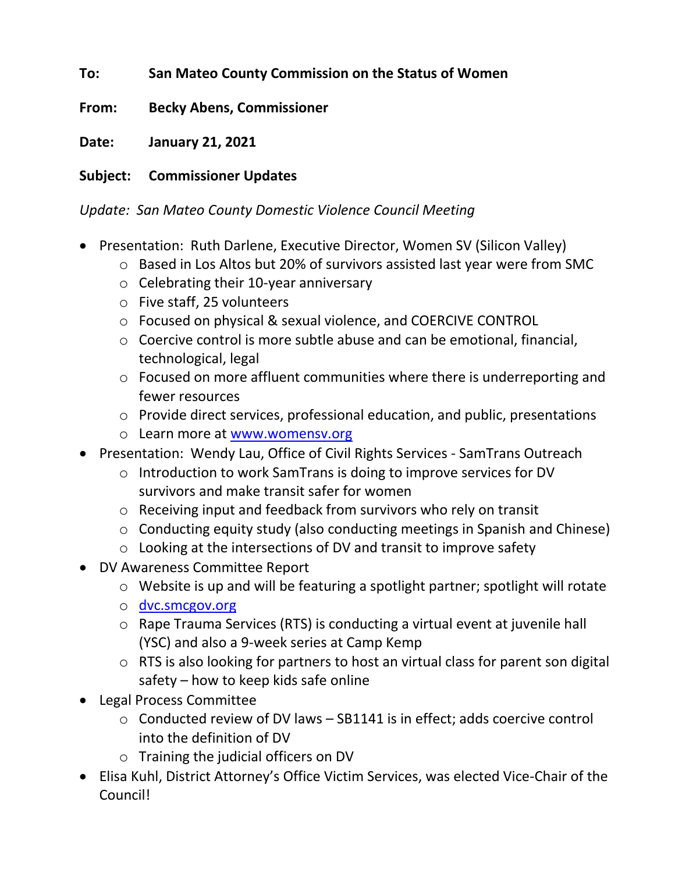## **To: San Mateo County Commission on the Status of Women**

**From: Becky Abens, Commissioner**

**Date: January 21, 2021**

## **Subject: Commissioner Updates**

## *Update: San Mateo County Domestic Violence Council Meeting*

- Presentation: Ruth Darlene, Executive Director, Women SV (Silicon Valley)
	- o Based in Los Altos but 20% of survivors assisted last year were from SMC
	- o Celebrating their 10-year anniversary
	- o Five staff, 25 volunteers
	- o Focused on physical & sexual violence, and COERCIVE CONTROL
	- o Coercive control is more subtle abuse and can be emotional, financial, technological, legal
	- o Focused on more affluent communities where there is underreporting and fewer resources
	- o Provide direct services, professional education, and public, presentations
	- o Learn more at [www.womensv.org](http://www.womensv.org/)
- Presentation: Wendy Lau, Office of Civil Rights Services SamTrans Outreach
	- o Introduction to work SamTrans is doing to improve services for DV survivors and make transit safer for women
	- o Receiving input and feedback from survivors who rely on transit
	- o Conducting equity study (also conducting meetings in Spanish and Chinese)
	- o Looking at the intersections of DV and transit to improve safety
- DV Awareness Committee Report
	- o Website is up and will be featuring a spotlight partner; spotlight will rotate
	- o [dvc.smcgov.org](https://dvc.smcgov.org/)
	- o Rape Trauma Services (RTS) is conducting a virtual event at juvenile hall (YSC) and also a 9-week series at Camp Kemp
	- o RTS is also looking for partners to host an virtual class for parent son digital safety – how to keep kids safe online
- Legal Process Committee
	- o Conducted review of DV laws SB1141 is in effect; adds coercive control into the definition of DV
	- o Training the judicial officers on DV
- Elisa Kuhl, District Attorney's Office Victim Services, was elected Vice-Chair of the Council!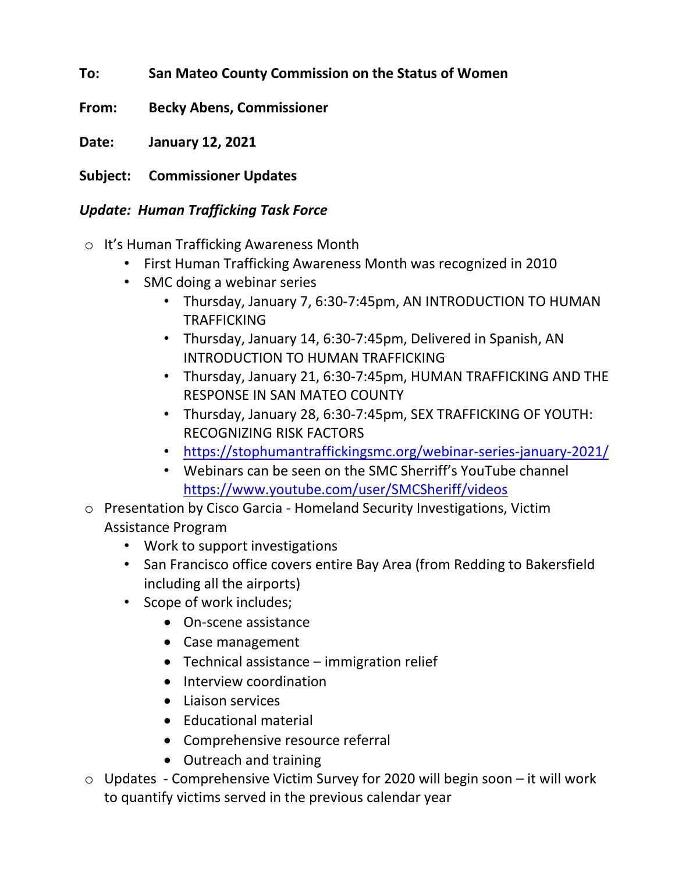- **To: San Mateo County Commission on the Status of Women**
- **From: Becky Abens, Commissioner**
- **Date: January 12, 2021**
- **Subject: Commissioner Updates**

## *Update: Human Trafficking Task Force*

- o It's Human Trafficking Awareness Month
	- First Human Trafficking Awareness Month was recognized in 2010
	- SMC doing a webinar series
		- Thursday, January 7, 6:30-7:45pm, AN INTRODUCTION TO HUMAN TRAFFICKING
		- Thursday, January 14, 6:30-7:45pm, Delivered in Spanish, AN INTRODUCTION TO HUMAN TRAFFICKING
		- Thursday, January 21, 6:30-7:45pm, HUMAN TRAFFICKING AND THE RESPONSE IN SAN MATEO COUNTY
		- Thursday, January 28, 6:30-7:45pm, SEX TRAFFICKING OF YOUTH: RECOGNIZING RISK FACTORS
		- <https://stophumantraffickingsmc.org/webinar-series-january-2021/>
		- Webinars can be seen on the SMC Sherriff's YouTube channel <https://www.youtube.com/user/SMCSheriff/videos>
- o Presentation by Cisco Garcia Homeland Security Investigations, Victim Assistance Program
	- Work to support investigations
	- San Francisco office covers entire Bay Area (from Redding to Bakersfield including all the airports)
	- Scope of work includes;
		- On-scene assistance
		- Case management
		- Technical assistance immigration relief
		- Interview coordination
		- Liaison services
		- Educational material
		- Comprehensive resource referral
		- Outreach and training
- o Updates Comprehensive Victim Survey for 2020 will begin soon it will work to quantify victims served in the previous calendar year